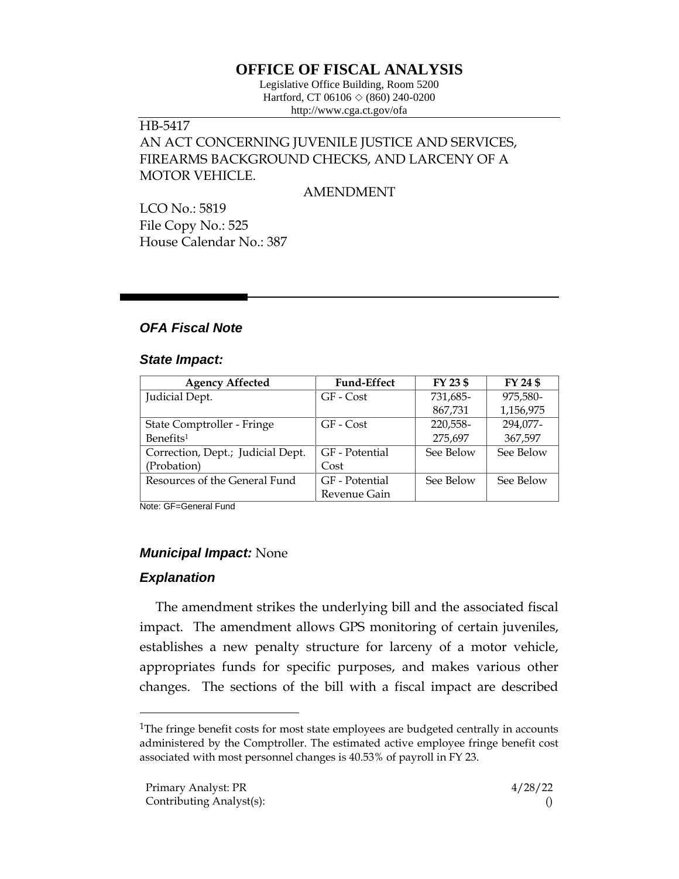# **OFFICE OF FISCAL ANALYSIS**

Legislative Office Building, Room 5200 Hartford, CT 06106  $\Diamond$  (860) 240-0200 http://www.cga.ct.gov/ofa

# HB-5417 AN ACT CONCERNING JUVENILE JUSTICE AND SERVICES, FIREARMS BACKGROUND CHECKS, AND LARCENY OF A MOTOR VEHICLE.

AMENDMENT

LCO No.: 5819 File Copy No.: 525 House Calendar No.: 387

## *OFA Fiscal Note*

#### *State Impact:*

| <b>Agency Affected</b>            | <b>Fund-Effect</b> | FY 23 \$  | FY 24 \$  |
|-----------------------------------|--------------------|-----------|-----------|
| Judicial Dept.                    | GF - Cost          | 731,685-  | 975,580-  |
|                                   |                    | 867,731   | 1,156,975 |
| State Comptroller - Fringe        | GF - Cost          | 220,558-  | 294,077-  |
| Benefits <sup>1</sup>             |                    | 275,697   | 367,597   |
| Correction, Dept.; Judicial Dept. | GF - Potential     | See Below | See Below |
| (Probation)                       | Cost               |           |           |
| Resources of the General Fund     | GF - Potential     | See Below | See Below |
|                                   | Revenue Gain       |           |           |

Note: GF=General Fund

## *Municipal Impact:* None

## *Explanation*

The amendment strikes the underlying bill and the associated fiscal impact. The amendment allows GPS monitoring of certain juveniles, establishes a new penalty structure for larceny of a motor vehicle, appropriates funds for specific purposes, and makes various other changes. The sections of the bill with a fiscal impact are described

<sup>&</sup>lt;sup>1</sup>The fringe benefit costs for most state employees are budgeted centrally in accounts administered by the Comptroller. The estimated active employee fringe benefit cost associated with most personnel changes is 40.53% of payroll in FY 23.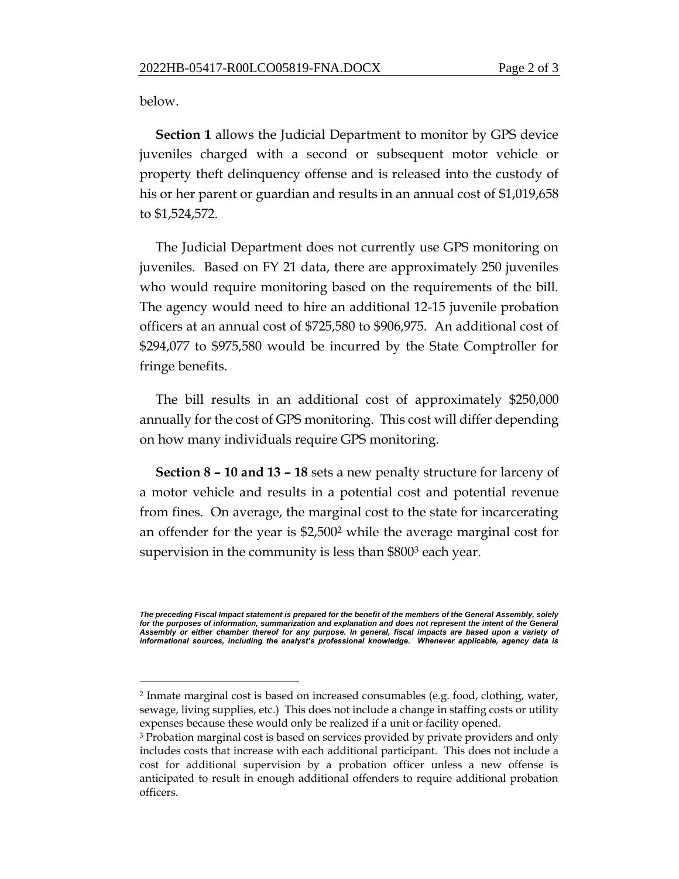below.

**Section 1** allows the Judicial Department to monitor by GPS device juveniles charged with a second or subsequent motor vehicle or property theft delinquency offense and is released into the custody of his or her parent or guardian and results in an annual cost of \$1,019,658 to \$1,524,572.

The Judicial Department does not currently use GPS monitoring on juveniles. Based on FY 21 data, there are approximately 250 juveniles who would require monitoring based on the requirements of the bill. The agency would need to hire an additional 12-15 juvenile probation officers at an annual cost of \$725,580 to \$906,975. An additional cost of \$294,077 to \$975,580 would be incurred by the State Comptroller for fringe benefits.

The bill results in an additional cost of approximately \$250,000 annually for the cost of GPS monitoring. This cost will differ depending on how many individuals require GPS monitoring.

**Section 8 – 10 and 13 – 18** sets a new penalty structure for larceny of a motor vehicle and results in a potential cost and potential revenue from fines. On average, the marginal cost to the state for incarcerating an offender for the year is \$2,500<sup>2</sup> while the average marginal cost for supervision in the community is less than \$800<sup>3</sup> each year.

*The preceding Fiscal Impact statement is prepared for the benefit of the members of the General Assembly, solely*  for the purposes of information, summarization and explanation and does not represent the intent of the General *Assembly or either chamber thereof for any purpose. In general, fiscal impacts are based upon a variety of informational sources, including the analyst's professional knowledge. Whenever applicable, agency data is* 

<sup>2</sup> Inmate marginal cost is based on increased consumables (e.g. food, clothing, water, sewage, living supplies, etc.) This does not include a change in staffing costs or utility expenses because these would only be realized if a unit or facility opened.

<sup>3</sup> Probation marginal cost is based on services provided by private providers and only includes costs that increase with each additional participant. This does not include a cost for additional supervision by a probation officer unless a new offense is anticipated to result in enough additional offenders to require additional probation officers.